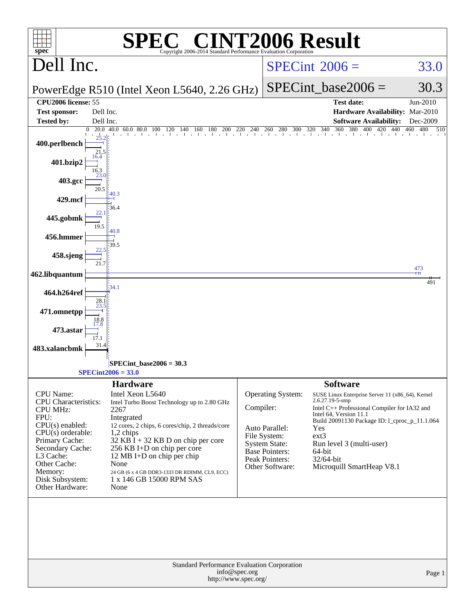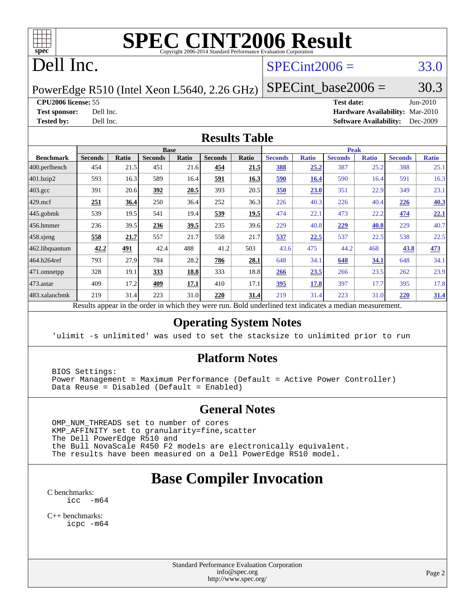

# **[SPEC CINT2006 Result](http://www.spec.org/auto/cpu2006/Docs/result-fields.html#SPECCINT2006Result)**

# Dell Inc.

#### $SPECint2006 = 33.0$  $SPECint2006 = 33.0$

PowerEdge R510 (Intel Xeon L5640, 2.26 GHz)

SPECint base2006 =  $30.3$ 

**[CPU2006 license:](http://www.spec.org/auto/cpu2006/Docs/result-fields.html#CPU2006license)** 55 **[Test date:](http://www.spec.org/auto/cpu2006/Docs/result-fields.html#Testdate)** Jun-2010

**[Test sponsor:](http://www.spec.org/auto/cpu2006/Docs/result-fields.html#Testsponsor)** Dell Inc. **[Hardware Availability:](http://www.spec.org/auto/cpu2006/Docs/result-fields.html#HardwareAvailability)** Mar-2010 **[Tested by:](http://www.spec.org/auto/cpu2006/Docs/result-fields.html#Testedby)** Dell Inc. **[Software Availability:](http://www.spec.org/auto/cpu2006/Docs/result-fields.html#SoftwareAvailability)** Dec-2009

#### **[Results Table](http://www.spec.org/auto/cpu2006/Docs/result-fields.html#ResultsTable)**

|                    | <b>Base</b>    |              |                |              |                |       | <b>Peak</b>           |              |                |              |                |              |  |
|--------------------|----------------|--------------|----------------|--------------|----------------|-------|-----------------------|--------------|----------------|--------------|----------------|--------------|--|
| <b>Benchmark</b>   | <b>Seconds</b> | <b>Ratio</b> | <b>Seconds</b> | <b>Ratio</b> | <b>Seconds</b> | Ratio | <b>Seconds</b>        | <b>Ratio</b> | <b>Seconds</b> | <b>Ratio</b> | <b>Seconds</b> | <b>Ratio</b> |  |
| 400.perlbench      | 454            | 21.5         | 451            | 21.6         | 454            | 21.5  | 388                   | 25.2         | 387            | 25.2         | 388            | 25.1         |  |
| 401.bzip2          | 593            | 16.3         | 589            | 16.4         | 591            | 16.3  | 590                   | 16.4         | 590            | 16.4         | 591            | 16.3         |  |
| $403.\mathrm{gcc}$ | 391            | 20.6         | 392            | 20.5         | 393            | 20.5  | 350                   | 23.0         | 351            | 22.9         | 349            | 23.1         |  |
| $429$ mcf          | 251            | 36.4         | 250            | 36.4         | 252            | 36.3  | 226                   | 40.3         | 226            | 40.4         | 226            | 40.3         |  |
| $445$ .gobmk       | 539            | 19.5         | 541            | 19.4         | 539            | 19.5  | 474                   | 22.1         | 473            | 22.2         | 474            | 22.1         |  |
| $ 456$ .hmmer      | 236            | 39.5         | 236            | 39.5         | 235            | 39.6  | 229                   | 40.8         | 229            | 40.8         | 229            | 40.7         |  |
| $458$ .sjeng       | 558            | 21.7         | 557            | 21.7         | 558            | 21.7  | 537                   | 22.5         | 537            | 22.5         | 538            | 22.5         |  |
| 462.libquantum     | 42.2           | 491          | 42.4           | 488          | 41.2           | 503   | 43.6                  | 475          | 44.2           | 468          | 43.8           | 473          |  |
| 464.h264ref        | 793            | 27.9         | 784            | 28.2         | 786            | 28.1  | 648                   | 34.1         | 648            | 34.1         | 648            | 34.1         |  |
| 471.omnetpp        | 328            | 19.1         | 333            | 18.8         | 333            | 18.8  | 266                   | 23.5         | 266            | 23.5         | 262            | 23.9         |  |
| $473$ . astar      | 409            | 17.2         | 409            | 17.1         | 410            | 17.1  | 395                   | 17.8         | 397            | 17.7         | 395            | 17.8         |  |
| 483.xalancbmk      | 219            | 31.4         | 223            | 31.0         | 220            | 31.4  | 219                   | 31.4         | 223            | 31.0         | 220            | 31.4         |  |
| $\mathbf{r}$       | $\mathbf{1}$ . |              |                | 1.1.1.1      |                |       | 1.1<br>$\blacksquare$ | $\cdot$      |                |              |                |              |  |

Results appear in the [order in which they were run.](http://www.spec.org/auto/cpu2006/Docs/result-fields.html#RunOrder) Bold underlined text [indicates a median measurement.](http://www.spec.org/auto/cpu2006/Docs/result-fields.html#Median)

#### **[Operating System Notes](http://www.spec.org/auto/cpu2006/Docs/result-fields.html#OperatingSystemNotes)**

'ulimit -s unlimited' was used to set the stacksize to unlimited prior to run

#### **[Platform Notes](http://www.spec.org/auto/cpu2006/Docs/result-fields.html#PlatformNotes)**

 BIOS Settings: Power Management = Maximum Performance (Default = Active Power Controller) Data Reuse = Disabled (Default = Enabled)

#### **[General Notes](http://www.spec.org/auto/cpu2006/Docs/result-fields.html#GeneralNotes)**

 OMP\_NUM\_THREADS set to number of cores KMP\_AFFINITY set to granularity=fine,scatter The Dell PowerEdge R510 and the Bull NovaScale R450 F2 models are electronically equivalent. The results have been measured on a Dell PowerEdge R510 model.

#### **[Base Compiler Invocation](http://www.spec.org/auto/cpu2006/Docs/result-fields.html#BaseCompilerInvocation)**

[C benchmarks](http://www.spec.org/auto/cpu2006/Docs/result-fields.html#Cbenchmarks): [icc -m64](http://www.spec.org/cpu2006/results/res2010q3/cpu2006-20100913-13225.flags.html#user_CCbase_intel_icc_64bit_f346026e86af2a669e726fe758c88044)

[C++ benchmarks:](http://www.spec.org/auto/cpu2006/Docs/result-fields.html#CXXbenchmarks) [icpc -m64](http://www.spec.org/cpu2006/results/res2010q3/cpu2006-20100913-13225.flags.html#user_CXXbase_intel_icpc_64bit_fc66a5337ce925472a5c54ad6a0de310)

> Standard Performance Evaluation Corporation [info@spec.org](mailto:info@spec.org) <http://www.spec.org/>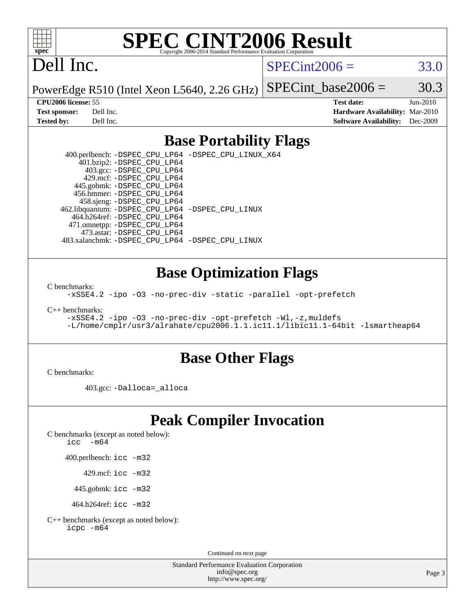

# **[SPEC CINT2006 Result](http://www.spec.org/auto/cpu2006/Docs/result-fields.html#SPECCINT2006Result)**

# Dell Inc.

 $SPECint2006 = 33.0$  $SPECint2006 = 33.0$ 

PowerEdge R510 (Intel Xeon L5640, 2.26 GHz) SPECint base2006 =  $30.3$ 

**[CPU2006 license:](http://www.spec.org/auto/cpu2006/Docs/result-fields.html#CPU2006license)** 55 **[Test date:](http://www.spec.org/auto/cpu2006/Docs/result-fields.html#Testdate)** Jun-2010 **[Test sponsor:](http://www.spec.org/auto/cpu2006/Docs/result-fields.html#Testsponsor)** Dell Inc. **[Hardware Availability:](http://www.spec.org/auto/cpu2006/Docs/result-fields.html#HardwareAvailability)** Mar-2010 **[Tested by:](http://www.spec.org/auto/cpu2006/Docs/result-fields.html#Testedby)** Dell Inc. **[Software Availability:](http://www.spec.org/auto/cpu2006/Docs/result-fields.html#SoftwareAvailability)** Dec-2009

#### **[Base Portability Flags](http://www.spec.org/auto/cpu2006/Docs/result-fields.html#BasePortabilityFlags)**

 400.perlbench: [-DSPEC\\_CPU\\_LP64](http://www.spec.org/cpu2006/results/res2010q3/cpu2006-20100913-13225.flags.html#b400.perlbench_basePORTABILITY_DSPEC_CPU_LP64) [-DSPEC\\_CPU\\_LINUX\\_X64](http://www.spec.org/cpu2006/results/res2010q3/cpu2006-20100913-13225.flags.html#b400.perlbench_baseCPORTABILITY_DSPEC_CPU_LINUX_X64) 401.bzip2: [-DSPEC\\_CPU\\_LP64](http://www.spec.org/cpu2006/results/res2010q3/cpu2006-20100913-13225.flags.html#suite_basePORTABILITY401_bzip2_DSPEC_CPU_LP64) 403.gcc: [-DSPEC\\_CPU\\_LP64](http://www.spec.org/cpu2006/results/res2010q3/cpu2006-20100913-13225.flags.html#suite_basePORTABILITY403_gcc_DSPEC_CPU_LP64) 429.mcf: [-DSPEC\\_CPU\\_LP64](http://www.spec.org/cpu2006/results/res2010q3/cpu2006-20100913-13225.flags.html#suite_basePORTABILITY429_mcf_DSPEC_CPU_LP64) 445.gobmk: [-DSPEC\\_CPU\\_LP64](http://www.spec.org/cpu2006/results/res2010q3/cpu2006-20100913-13225.flags.html#suite_basePORTABILITY445_gobmk_DSPEC_CPU_LP64) 456.hmmer: [-DSPEC\\_CPU\\_LP64](http://www.spec.org/cpu2006/results/res2010q3/cpu2006-20100913-13225.flags.html#suite_basePORTABILITY456_hmmer_DSPEC_CPU_LP64) 458.sjeng: [-DSPEC\\_CPU\\_LP64](http://www.spec.org/cpu2006/results/res2010q3/cpu2006-20100913-13225.flags.html#suite_basePORTABILITY458_sjeng_DSPEC_CPU_LP64) 462.libquantum: [-DSPEC\\_CPU\\_LP64](http://www.spec.org/cpu2006/results/res2010q3/cpu2006-20100913-13225.flags.html#suite_basePORTABILITY462_libquantum_DSPEC_CPU_LP64) [-DSPEC\\_CPU\\_LINUX](http://www.spec.org/cpu2006/results/res2010q3/cpu2006-20100913-13225.flags.html#b462.libquantum_baseCPORTABILITY_DSPEC_CPU_LINUX) 464.h264ref: [-DSPEC\\_CPU\\_LP64](http://www.spec.org/cpu2006/results/res2010q3/cpu2006-20100913-13225.flags.html#suite_basePORTABILITY464_h264ref_DSPEC_CPU_LP64) 471.omnetpp: [-DSPEC\\_CPU\\_LP64](http://www.spec.org/cpu2006/results/res2010q3/cpu2006-20100913-13225.flags.html#suite_basePORTABILITY471_omnetpp_DSPEC_CPU_LP64) 473.astar: [-DSPEC\\_CPU\\_LP64](http://www.spec.org/cpu2006/results/res2010q3/cpu2006-20100913-13225.flags.html#suite_basePORTABILITY473_astar_DSPEC_CPU_LP64) 483.xalancbmk: [-DSPEC\\_CPU\\_LP64](http://www.spec.org/cpu2006/results/res2010q3/cpu2006-20100913-13225.flags.html#suite_basePORTABILITY483_xalancbmk_DSPEC_CPU_LP64) [-DSPEC\\_CPU\\_LINUX](http://www.spec.org/cpu2006/results/res2010q3/cpu2006-20100913-13225.flags.html#b483.xalancbmk_baseCXXPORTABILITY_DSPEC_CPU_LINUX)

#### **[Base Optimization Flags](http://www.spec.org/auto/cpu2006/Docs/result-fields.html#BaseOptimizationFlags)**

[C benchmarks](http://www.spec.org/auto/cpu2006/Docs/result-fields.html#Cbenchmarks):

[-xSSE4.2](http://www.spec.org/cpu2006/results/res2010q3/cpu2006-20100913-13225.flags.html#user_CCbase_f-xSSE42_f91528193cf0b216347adb8b939d4107) [-ipo](http://www.spec.org/cpu2006/results/res2010q3/cpu2006-20100913-13225.flags.html#user_CCbase_f-ipo) [-O3](http://www.spec.org/cpu2006/results/res2010q3/cpu2006-20100913-13225.flags.html#user_CCbase_f-O3) [-no-prec-div](http://www.spec.org/cpu2006/results/res2010q3/cpu2006-20100913-13225.flags.html#user_CCbase_f-no-prec-div) [-static](http://www.spec.org/cpu2006/results/res2010q3/cpu2006-20100913-13225.flags.html#user_CCbase_f-static) [-parallel](http://www.spec.org/cpu2006/results/res2010q3/cpu2006-20100913-13225.flags.html#user_CCbase_f-parallel) [-opt-prefetch](http://www.spec.org/cpu2006/results/res2010q3/cpu2006-20100913-13225.flags.html#user_CCbase_f-opt-prefetch)

[C++ benchmarks:](http://www.spec.org/auto/cpu2006/Docs/result-fields.html#CXXbenchmarks)

[-xSSE4.2](http://www.spec.org/cpu2006/results/res2010q3/cpu2006-20100913-13225.flags.html#user_CXXbase_f-xSSE42_f91528193cf0b216347adb8b939d4107) [-ipo](http://www.spec.org/cpu2006/results/res2010q3/cpu2006-20100913-13225.flags.html#user_CXXbase_f-ipo) [-O3](http://www.spec.org/cpu2006/results/res2010q3/cpu2006-20100913-13225.flags.html#user_CXXbase_f-O3) [-no-prec-div](http://www.spec.org/cpu2006/results/res2010q3/cpu2006-20100913-13225.flags.html#user_CXXbase_f-no-prec-div) [-opt-prefetch](http://www.spec.org/cpu2006/results/res2010q3/cpu2006-20100913-13225.flags.html#user_CXXbase_f-opt-prefetch) [-Wl,-z,muldefs](http://www.spec.org/cpu2006/results/res2010q3/cpu2006-20100913-13225.flags.html#user_CXXbase_link_force_multiple1_74079c344b956b9658436fd1b6dd3a8a) [-L/home/cmplr/usr3/alrahate/cpu2006.1.1.ic11.1/libic11.1-64bit -lsmartheap64](http://www.spec.org/cpu2006/results/res2010q3/cpu2006-20100913-13225.flags.html#user_CXXbase_SmartHeap64_e2306cda84805d1ab360117a79ff779c)

#### **[Base Other Flags](http://www.spec.org/auto/cpu2006/Docs/result-fields.html#BaseOtherFlags)**

[C benchmarks](http://www.spec.org/auto/cpu2006/Docs/result-fields.html#Cbenchmarks):

403.gcc: [-Dalloca=\\_alloca](http://www.spec.org/cpu2006/results/res2010q3/cpu2006-20100913-13225.flags.html#b403.gcc_baseEXTRA_CFLAGS_Dalloca_be3056838c12de2578596ca5467af7f3)

## **[Peak Compiler Invocation](http://www.spec.org/auto/cpu2006/Docs/result-fields.html#PeakCompilerInvocation)**

[C benchmarks \(except as noted below\)](http://www.spec.org/auto/cpu2006/Docs/result-fields.html#Cbenchmarksexceptasnotedbelow):

icc  $-m64$ 

400.perlbench: [icc -m32](http://www.spec.org/cpu2006/results/res2010q3/cpu2006-20100913-13225.flags.html#user_peakCCLD400_perlbench_intel_icc_32bit_a6a621f8d50482236b970c6ac5f55f93)

429.mcf: [icc -m32](http://www.spec.org/cpu2006/results/res2010q3/cpu2006-20100913-13225.flags.html#user_peakCCLD429_mcf_intel_icc_32bit_a6a621f8d50482236b970c6ac5f55f93)

445.gobmk: [icc -m32](http://www.spec.org/cpu2006/results/res2010q3/cpu2006-20100913-13225.flags.html#user_peakCCLD445_gobmk_intel_icc_32bit_a6a621f8d50482236b970c6ac5f55f93)

464.h264ref: [icc -m32](http://www.spec.org/cpu2006/results/res2010q3/cpu2006-20100913-13225.flags.html#user_peakCCLD464_h264ref_intel_icc_32bit_a6a621f8d50482236b970c6ac5f55f93)

[C++ benchmarks \(except as noted below\):](http://www.spec.org/auto/cpu2006/Docs/result-fields.html#CXXbenchmarksexceptasnotedbelow) [icpc -m64](http://www.spec.org/cpu2006/results/res2010q3/cpu2006-20100913-13225.flags.html#user_CXXpeak_intel_icpc_64bit_fc66a5337ce925472a5c54ad6a0de310)

Continued on next page

Standard Performance Evaluation Corporation [info@spec.org](mailto:info@spec.org) <http://www.spec.org/>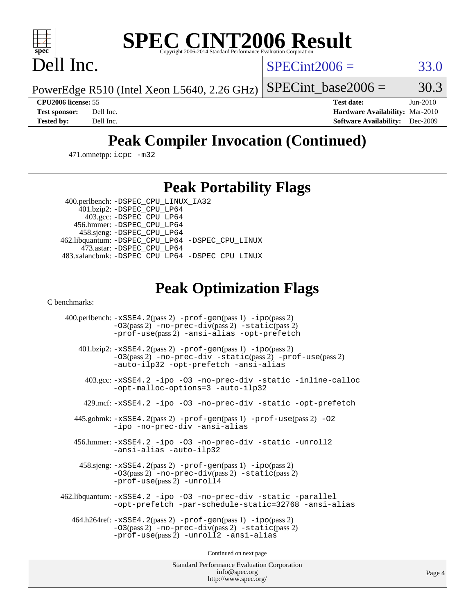

# **[SPEC CINT2006 Result](http://www.spec.org/auto/cpu2006/Docs/result-fields.html#SPECCINT2006Result)**

Dell Inc.

 $SPECint2006 = 33.0$  $SPECint2006 = 33.0$ 

PowerEdge R510 (Intel Xeon L5640, 2.26 GHz) SPECint base2006 =  $30.3$ 

**[CPU2006 license:](http://www.spec.org/auto/cpu2006/Docs/result-fields.html#CPU2006license)** 55 **[Test date:](http://www.spec.org/auto/cpu2006/Docs/result-fields.html#Testdate)** Jun-2010 **[Test sponsor:](http://www.spec.org/auto/cpu2006/Docs/result-fields.html#Testsponsor)** Dell Inc. **[Hardware Availability:](http://www.spec.org/auto/cpu2006/Docs/result-fields.html#HardwareAvailability)** Mar-2010 **[Tested by:](http://www.spec.org/auto/cpu2006/Docs/result-fields.html#Testedby)** Dell Inc. **[Software Availability:](http://www.spec.org/auto/cpu2006/Docs/result-fields.html#SoftwareAvailability)** Dec-2009

## **[Peak Compiler Invocation \(Continued\)](http://www.spec.org/auto/cpu2006/Docs/result-fields.html#PeakCompilerInvocation)**

471.omnetpp: [icpc -m32](http://www.spec.org/cpu2006/results/res2010q3/cpu2006-20100913-13225.flags.html#user_peakCXXLD471_omnetpp_intel_icpc_32bit_4e5a5ef1a53fd332b3c49e69c3330699)

### **[Peak Portability Flags](http://www.spec.org/auto/cpu2006/Docs/result-fields.html#PeakPortabilityFlags)**

 400.perlbench: [-DSPEC\\_CPU\\_LINUX\\_IA32](http://www.spec.org/cpu2006/results/res2010q3/cpu2006-20100913-13225.flags.html#b400.perlbench_peakCPORTABILITY_DSPEC_CPU_LINUX_IA32) 401.bzip2: [-DSPEC\\_CPU\\_LP64](http://www.spec.org/cpu2006/results/res2010q3/cpu2006-20100913-13225.flags.html#suite_peakPORTABILITY401_bzip2_DSPEC_CPU_LP64)

 403.gcc: [-DSPEC\\_CPU\\_LP64](http://www.spec.org/cpu2006/results/res2010q3/cpu2006-20100913-13225.flags.html#suite_peakPORTABILITY403_gcc_DSPEC_CPU_LP64) 456.hmmer: [-DSPEC\\_CPU\\_LP64](http://www.spec.org/cpu2006/results/res2010q3/cpu2006-20100913-13225.flags.html#suite_peakPORTABILITY456_hmmer_DSPEC_CPU_LP64) 458.sjeng: [-DSPEC\\_CPU\\_LP64](http://www.spec.org/cpu2006/results/res2010q3/cpu2006-20100913-13225.flags.html#suite_peakPORTABILITY458_sjeng_DSPEC_CPU_LP64) 462.libquantum: [-DSPEC\\_CPU\\_LP64](http://www.spec.org/cpu2006/results/res2010q3/cpu2006-20100913-13225.flags.html#suite_peakPORTABILITY462_libquantum_DSPEC_CPU_LP64) [-DSPEC\\_CPU\\_LINUX](http://www.spec.org/cpu2006/results/res2010q3/cpu2006-20100913-13225.flags.html#b462.libquantum_peakCPORTABILITY_DSPEC_CPU_LINUX) 473.astar: [-DSPEC\\_CPU\\_LP64](http://www.spec.org/cpu2006/results/res2010q3/cpu2006-20100913-13225.flags.html#suite_peakPORTABILITY473_astar_DSPEC_CPU_LP64) 483.xalancbmk: [-DSPEC\\_CPU\\_LP64](http://www.spec.org/cpu2006/results/res2010q3/cpu2006-20100913-13225.flags.html#suite_peakPORTABILITY483_xalancbmk_DSPEC_CPU_LP64) [-DSPEC\\_CPU\\_LINUX](http://www.spec.org/cpu2006/results/res2010q3/cpu2006-20100913-13225.flags.html#b483.xalancbmk_peakCXXPORTABILITY_DSPEC_CPU_LINUX)

## **[Peak Optimization Flags](http://www.spec.org/auto/cpu2006/Docs/result-fields.html#PeakOptimizationFlags)**

[C benchmarks](http://www.spec.org/auto/cpu2006/Docs/result-fields.html#Cbenchmarks):

 400.perlbench: [-xSSE4.2](http://www.spec.org/cpu2006/results/res2010q3/cpu2006-20100913-13225.flags.html#user_peakPASS2_CFLAGSPASS2_LDCFLAGS400_perlbench_f-xSSE42_f91528193cf0b216347adb8b939d4107)(pass 2) [-prof-gen](http://www.spec.org/cpu2006/results/res2010q3/cpu2006-20100913-13225.flags.html#user_peakPASS1_CFLAGSPASS1_LDCFLAGS400_perlbench_prof_gen_e43856698f6ca7b7e442dfd80e94a8fc)(pass 1) [-ipo](http://www.spec.org/cpu2006/results/res2010q3/cpu2006-20100913-13225.flags.html#user_peakPASS2_CFLAGSPASS2_LDCFLAGS400_perlbench_f-ipo)(pass 2) [-O3](http://www.spec.org/cpu2006/results/res2010q3/cpu2006-20100913-13225.flags.html#user_peakPASS2_CFLAGSPASS2_LDCFLAGS400_perlbench_f-O3)(pass 2) [-no-prec-div](http://www.spec.org/cpu2006/results/res2010q3/cpu2006-20100913-13225.flags.html#user_peakPASS2_CFLAGSPASS2_LDCFLAGS400_perlbench_f-no-prec-div)(pass 2) [-static](http://www.spec.org/cpu2006/results/res2010q3/cpu2006-20100913-13225.flags.html#user_peakPASS2_CFLAGSPASS2_LDCFLAGS400_perlbench_f-static)(pass 2) [-prof-use](http://www.spec.org/cpu2006/results/res2010q3/cpu2006-20100913-13225.flags.html#user_peakPASS2_CFLAGSPASS2_LDCFLAGS400_perlbench_prof_use_bccf7792157ff70d64e32fe3e1250b55)(pass 2) [-ansi-alias](http://www.spec.org/cpu2006/results/res2010q3/cpu2006-20100913-13225.flags.html#user_peakCOPTIMIZE400_perlbench_f-ansi-alias) [-opt-prefetch](http://www.spec.org/cpu2006/results/res2010q3/cpu2006-20100913-13225.flags.html#user_peakCOPTIMIZE400_perlbench_f-opt-prefetch) 401.bzip2: [-xSSE4.2](http://www.spec.org/cpu2006/results/res2010q3/cpu2006-20100913-13225.flags.html#user_peakPASS2_CFLAGSPASS2_LDCFLAGS401_bzip2_f-xSSE42_f91528193cf0b216347adb8b939d4107)(pass 2) [-prof-gen](http://www.spec.org/cpu2006/results/res2010q3/cpu2006-20100913-13225.flags.html#user_peakPASS1_CFLAGSPASS1_LDCFLAGS401_bzip2_prof_gen_e43856698f6ca7b7e442dfd80e94a8fc)(pass 1) [-ipo](http://www.spec.org/cpu2006/results/res2010q3/cpu2006-20100913-13225.flags.html#user_peakPASS2_CFLAGSPASS2_LDCFLAGS401_bzip2_f-ipo)(pass 2) [-O3](http://www.spec.org/cpu2006/results/res2010q3/cpu2006-20100913-13225.flags.html#user_peakPASS2_CFLAGSPASS2_LDCFLAGS401_bzip2_f-O3)(pass 2) [-no-prec-div](http://www.spec.org/cpu2006/results/res2010q3/cpu2006-20100913-13225.flags.html#user_peakCOPTIMIZEPASS2_CFLAGSPASS2_LDCFLAGS401_bzip2_f-no-prec-div) [-static](http://www.spec.org/cpu2006/results/res2010q3/cpu2006-20100913-13225.flags.html#user_peakPASS2_CFLAGSPASS2_LDCFLAGS401_bzip2_f-static)(pass 2) [-prof-use](http://www.spec.org/cpu2006/results/res2010q3/cpu2006-20100913-13225.flags.html#user_peakPASS2_CFLAGSPASS2_LDCFLAGS401_bzip2_prof_use_bccf7792157ff70d64e32fe3e1250b55)(pass 2) [-auto-ilp32](http://www.spec.org/cpu2006/results/res2010q3/cpu2006-20100913-13225.flags.html#user_peakCOPTIMIZE401_bzip2_f-auto-ilp32) [-opt-prefetch](http://www.spec.org/cpu2006/results/res2010q3/cpu2006-20100913-13225.flags.html#user_peakCOPTIMIZE401_bzip2_f-opt-prefetch) [-ansi-alias](http://www.spec.org/cpu2006/results/res2010q3/cpu2006-20100913-13225.flags.html#user_peakCOPTIMIZE401_bzip2_f-ansi-alias) 403.gcc: [-xSSE4.2](http://www.spec.org/cpu2006/results/res2010q3/cpu2006-20100913-13225.flags.html#user_peakCOPTIMIZE403_gcc_f-xSSE42_f91528193cf0b216347adb8b939d4107) [-ipo](http://www.spec.org/cpu2006/results/res2010q3/cpu2006-20100913-13225.flags.html#user_peakCOPTIMIZE403_gcc_f-ipo) [-O3](http://www.spec.org/cpu2006/results/res2010q3/cpu2006-20100913-13225.flags.html#user_peakCOPTIMIZE403_gcc_f-O3) [-no-prec-div](http://www.spec.org/cpu2006/results/res2010q3/cpu2006-20100913-13225.flags.html#user_peakCOPTIMIZE403_gcc_f-no-prec-div) [-static](http://www.spec.org/cpu2006/results/res2010q3/cpu2006-20100913-13225.flags.html#user_peakCOPTIMIZE403_gcc_f-static) [-inline-calloc](http://www.spec.org/cpu2006/results/res2010q3/cpu2006-20100913-13225.flags.html#user_peakCOPTIMIZE403_gcc_f-inline-calloc) [-opt-malloc-options=3](http://www.spec.org/cpu2006/results/res2010q3/cpu2006-20100913-13225.flags.html#user_peakCOPTIMIZE403_gcc_f-opt-malloc-options_13ab9b803cf986b4ee62f0a5998c2238) [-auto-ilp32](http://www.spec.org/cpu2006/results/res2010q3/cpu2006-20100913-13225.flags.html#user_peakCOPTIMIZE403_gcc_f-auto-ilp32) 429.mcf: [-xSSE4.2](http://www.spec.org/cpu2006/results/res2010q3/cpu2006-20100913-13225.flags.html#user_peakCOPTIMIZE429_mcf_f-xSSE42_f91528193cf0b216347adb8b939d4107) [-ipo](http://www.spec.org/cpu2006/results/res2010q3/cpu2006-20100913-13225.flags.html#user_peakCOPTIMIZE429_mcf_f-ipo) [-O3](http://www.spec.org/cpu2006/results/res2010q3/cpu2006-20100913-13225.flags.html#user_peakCOPTIMIZE429_mcf_f-O3) [-no-prec-div](http://www.spec.org/cpu2006/results/res2010q3/cpu2006-20100913-13225.flags.html#user_peakCOPTIMIZE429_mcf_f-no-prec-div) [-static](http://www.spec.org/cpu2006/results/res2010q3/cpu2006-20100913-13225.flags.html#user_peakCOPTIMIZE429_mcf_f-static) [-opt-prefetch](http://www.spec.org/cpu2006/results/res2010q3/cpu2006-20100913-13225.flags.html#user_peakCOPTIMIZE429_mcf_f-opt-prefetch) 445.gobmk: [-xSSE4.2](http://www.spec.org/cpu2006/results/res2010q3/cpu2006-20100913-13225.flags.html#user_peakPASS2_CFLAGSPASS2_LDCFLAGS445_gobmk_f-xSSE42_f91528193cf0b216347adb8b939d4107)(pass 2) [-prof-gen](http://www.spec.org/cpu2006/results/res2010q3/cpu2006-20100913-13225.flags.html#user_peakPASS1_CFLAGSPASS1_LDCFLAGS445_gobmk_prof_gen_e43856698f6ca7b7e442dfd80e94a8fc)(pass 1) [-prof-use](http://www.spec.org/cpu2006/results/res2010q3/cpu2006-20100913-13225.flags.html#user_peakPASS2_CFLAGSPASS2_LDCFLAGS445_gobmk_prof_use_bccf7792157ff70d64e32fe3e1250b55)(pass 2) [-O2](http://www.spec.org/cpu2006/results/res2010q3/cpu2006-20100913-13225.flags.html#user_peakCOPTIMIZE445_gobmk_f-O2) [-ipo](http://www.spec.org/cpu2006/results/res2010q3/cpu2006-20100913-13225.flags.html#user_peakCOPTIMIZE445_gobmk_f-ipo) [-no-prec-div](http://www.spec.org/cpu2006/results/res2010q3/cpu2006-20100913-13225.flags.html#user_peakCOPTIMIZE445_gobmk_f-no-prec-div) [-ansi-alias](http://www.spec.org/cpu2006/results/res2010q3/cpu2006-20100913-13225.flags.html#user_peakCOPTIMIZE445_gobmk_f-ansi-alias) 456.hmmer: [-xSSE4.2](http://www.spec.org/cpu2006/results/res2010q3/cpu2006-20100913-13225.flags.html#user_peakCOPTIMIZE456_hmmer_f-xSSE42_f91528193cf0b216347adb8b939d4107) [-ipo](http://www.spec.org/cpu2006/results/res2010q3/cpu2006-20100913-13225.flags.html#user_peakCOPTIMIZE456_hmmer_f-ipo) [-O3](http://www.spec.org/cpu2006/results/res2010q3/cpu2006-20100913-13225.flags.html#user_peakCOPTIMIZE456_hmmer_f-O3) [-no-prec-div](http://www.spec.org/cpu2006/results/res2010q3/cpu2006-20100913-13225.flags.html#user_peakCOPTIMIZE456_hmmer_f-no-prec-div) [-static](http://www.spec.org/cpu2006/results/res2010q3/cpu2006-20100913-13225.flags.html#user_peakCOPTIMIZE456_hmmer_f-static) [-unroll2](http://www.spec.org/cpu2006/results/res2010q3/cpu2006-20100913-13225.flags.html#user_peakCOPTIMIZE456_hmmer_f-unroll_784dae83bebfb236979b41d2422d7ec2) [-ansi-alias](http://www.spec.org/cpu2006/results/res2010q3/cpu2006-20100913-13225.flags.html#user_peakCOPTIMIZE456_hmmer_f-ansi-alias) [-auto-ilp32](http://www.spec.org/cpu2006/results/res2010q3/cpu2006-20100913-13225.flags.html#user_peakCOPTIMIZE456_hmmer_f-auto-ilp32) 458.sjeng: [-xSSE4.2](http://www.spec.org/cpu2006/results/res2010q3/cpu2006-20100913-13225.flags.html#user_peakPASS2_CFLAGSPASS2_LDCFLAGS458_sjeng_f-xSSE42_f91528193cf0b216347adb8b939d4107)(pass 2) [-prof-gen](http://www.spec.org/cpu2006/results/res2010q3/cpu2006-20100913-13225.flags.html#user_peakPASS1_CFLAGSPASS1_LDCFLAGS458_sjeng_prof_gen_e43856698f6ca7b7e442dfd80e94a8fc)(pass 1) [-ipo](http://www.spec.org/cpu2006/results/res2010q3/cpu2006-20100913-13225.flags.html#user_peakPASS2_CFLAGSPASS2_LDCFLAGS458_sjeng_f-ipo)(pass 2) [-O3](http://www.spec.org/cpu2006/results/res2010q3/cpu2006-20100913-13225.flags.html#user_peakPASS2_CFLAGSPASS2_LDCFLAGS458_sjeng_f-O3)(pass 2) [-no-prec-div](http://www.spec.org/cpu2006/results/res2010q3/cpu2006-20100913-13225.flags.html#user_peakPASS2_CFLAGSPASS2_LDCFLAGS458_sjeng_f-no-prec-div)(pass 2) [-static](http://www.spec.org/cpu2006/results/res2010q3/cpu2006-20100913-13225.flags.html#user_peakPASS2_CFLAGSPASS2_LDCFLAGS458_sjeng_f-static)(pass 2) [-prof-use](http://www.spec.org/cpu2006/results/res2010q3/cpu2006-20100913-13225.flags.html#user_peakPASS2_CFLAGSPASS2_LDCFLAGS458_sjeng_prof_use_bccf7792157ff70d64e32fe3e1250b55)(pass 2) [-unroll4](http://www.spec.org/cpu2006/results/res2010q3/cpu2006-20100913-13225.flags.html#user_peakCOPTIMIZE458_sjeng_f-unroll_4e5e4ed65b7fd20bdcd365bec371b81f) 462.libquantum: [-xSSE4.2](http://www.spec.org/cpu2006/results/res2010q3/cpu2006-20100913-13225.flags.html#user_peakCOPTIMIZE462_libquantum_f-xSSE42_f91528193cf0b216347adb8b939d4107) [-ipo](http://www.spec.org/cpu2006/results/res2010q3/cpu2006-20100913-13225.flags.html#user_peakCOPTIMIZE462_libquantum_f-ipo) [-O3](http://www.spec.org/cpu2006/results/res2010q3/cpu2006-20100913-13225.flags.html#user_peakCOPTIMIZE462_libquantum_f-O3) [-no-prec-div](http://www.spec.org/cpu2006/results/res2010q3/cpu2006-20100913-13225.flags.html#user_peakCOPTIMIZE462_libquantum_f-no-prec-div) [-static](http://www.spec.org/cpu2006/results/res2010q3/cpu2006-20100913-13225.flags.html#user_peakCOPTIMIZE462_libquantum_f-static) [-parallel](http://www.spec.org/cpu2006/results/res2010q3/cpu2006-20100913-13225.flags.html#user_peakCOPTIMIZE462_libquantum_f-parallel) [-opt-prefetch](http://www.spec.org/cpu2006/results/res2010q3/cpu2006-20100913-13225.flags.html#user_peakCOPTIMIZE462_libquantum_f-opt-prefetch) [-par-schedule-static=32768](http://www.spec.org/cpu2006/results/res2010q3/cpu2006-20100913-13225.flags.html#user_peakCOPTIMIZE462_libquantum_f-par-schedule_9386bcd99ba64e99ee01d1aafefddd14) [-ansi-alias](http://www.spec.org/cpu2006/results/res2010q3/cpu2006-20100913-13225.flags.html#user_peakCOPTIMIZE462_libquantum_f-ansi-alias) 464.h264ref: [-xSSE4.2](http://www.spec.org/cpu2006/results/res2010q3/cpu2006-20100913-13225.flags.html#user_peakPASS2_CFLAGSPASS2_LDCFLAGS464_h264ref_f-xSSE42_f91528193cf0b216347adb8b939d4107)(pass 2) [-prof-gen](http://www.spec.org/cpu2006/results/res2010q3/cpu2006-20100913-13225.flags.html#user_peakPASS1_CFLAGSPASS1_LDCFLAGS464_h264ref_prof_gen_e43856698f6ca7b7e442dfd80e94a8fc)(pass 1) [-ipo](http://www.spec.org/cpu2006/results/res2010q3/cpu2006-20100913-13225.flags.html#user_peakPASS2_CFLAGSPASS2_LDCFLAGS464_h264ref_f-ipo)(pass 2) [-O3](http://www.spec.org/cpu2006/results/res2010q3/cpu2006-20100913-13225.flags.html#user_peakPASS2_CFLAGSPASS2_LDCFLAGS464_h264ref_f-O3)(pass 2) [-no-prec-div](http://www.spec.org/cpu2006/results/res2010q3/cpu2006-20100913-13225.flags.html#user_peakPASS2_CFLAGSPASS2_LDCFLAGS464_h264ref_f-no-prec-div)(pass 2) [-static](http://www.spec.org/cpu2006/results/res2010q3/cpu2006-20100913-13225.flags.html#user_peakPASS2_CFLAGSPASS2_LDCFLAGS464_h264ref_f-static)(pass 2) [-prof-use](http://www.spec.org/cpu2006/results/res2010q3/cpu2006-20100913-13225.flags.html#user_peakPASS2_CFLAGSPASS2_LDCFLAGS464_h264ref_prof_use_bccf7792157ff70d64e32fe3e1250b55)(pass 2) [-unroll2](http://www.spec.org/cpu2006/results/res2010q3/cpu2006-20100913-13225.flags.html#user_peakCOPTIMIZE464_h264ref_f-unroll_784dae83bebfb236979b41d2422d7ec2) [-ansi-alias](http://www.spec.org/cpu2006/results/res2010q3/cpu2006-20100913-13225.flags.html#user_peakCOPTIMIZE464_h264ref_f-ansi-alias)

Continued on next page

Standard Performance Evaluation Corporation [info@spec.org](mailto:info@spec.org) <http://www.spec.org/>